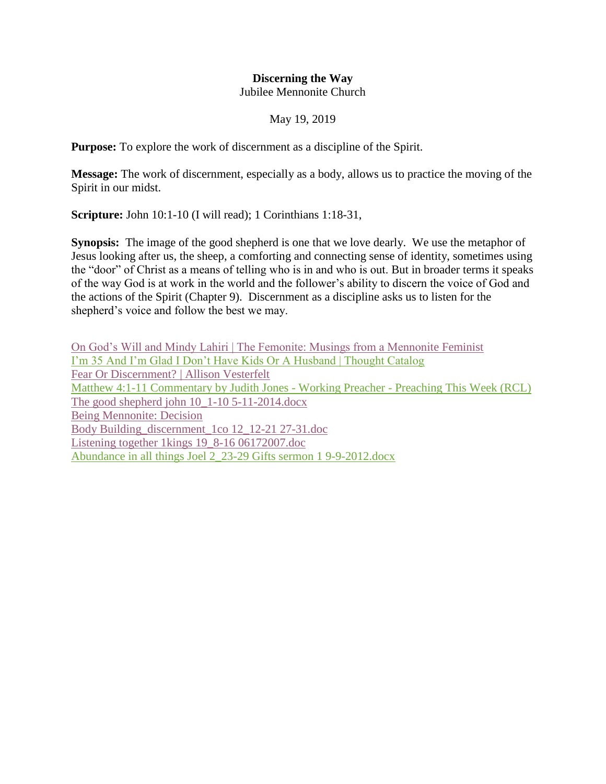## **Discerning the Way** Jubilee Mennonite Church

## May 19, 2019

**Purpose:** To explore the work of discernment as a discipline of the Spirit.

**Message:** The work of discernment, especially as a body, allows us to practice the moving of the Spirit in our midst.

**Scripture:** John 10:1-10 (I will read); 1 Corinthians 1:18-31,

**Synopsis:** The image of the good shepherd is one that we love dearly. We use the metaphor of Jesus looking after us, the sheep, a comforting and connecting sense of identity, sometimes using the "door" of Christ as a means of telling who is in and who is out. But in broader terms it speaks of the way God is at work in the world and the follower's ability to discern the voice of God and the actions of the Spirit (Chapter 9). Discernment as a discipline asks us to listen for the shepherd's voice and follow the best we may.

[On God's Will and Mindy Lahiri | The Femonite: Musings from a Mennonite Feminist](https://www.evernote.com/shard/s249/nl/31369896/425cd3e7-2bfb-4f64-bce2-505da15a7e6c) [I'm 35 And I'm Glad I Don't Have Kids Or A Husband | Thought Catalog](https://www.evernote.com/shard/s249/nl/31369896/3c5198e2-3368-41db-af86-eb70736dfdba) [Fear Or Discernment? | Allison Vesterfelt](https://www.evernote.com/shard/s249/nl/31369896/114e06c0-8247-4fac-a3fc-3d44cb333ed1) [Matthew 4:1-11 Commentary by Judith Jones -](https://www.evernote.com/shard/s249/nl/31369896/bc8eca05-f038-462b-8c75-948561a911ec) Working Preacher - Preaching This Week (RCL) [The good shepherd john 10\\_1-10 5-11-2014.docx](https://www.evernote.com/shard/s249/nl/31369896/8ebf989c-acb8-44f7-a4b9-dc66ed9e0ca7) [Being Mennonite: Decision](https://www.evernote.com/shard/s249/nl/31369896/085e6e4e-67a5-4571-b9be-e90a66e88535) [Body Building\\_discernment\\_1co 12\\_12-21 27-31.doc](https://www.evernote.com/shard/s249/nl/31369896/9153bdf8-74d9-46d7-a0f8-b18f3f0d3e50) [Listening together 1kings 19\\_8-16 06172007.doc](https://www.evernote.com/shard/s249/nl/31369896/807c64d2-1e4d-4be7-9cb0-f0837b38db48) [Abundance in all things Joel 2\\_23-29 Gifts sermon 1 9-9-2012.docx](https://www.evernote.com/shard/s249/nl/31369896/c5a218ab-2ccf-4ef2-8f19-98822d821e2e)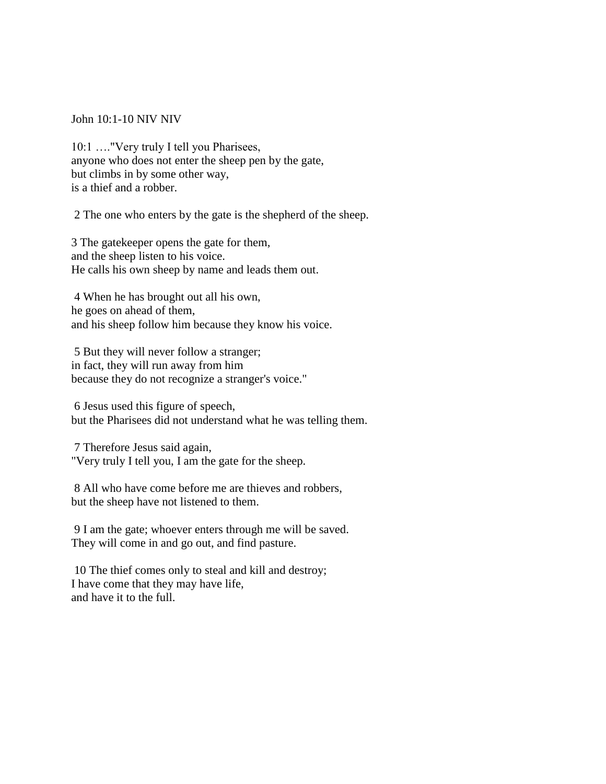John 10:1-10 NIV NIV

10:1 ...."Very truly I tell you Pharisees, anyone who does not enter the sheep pen by the gate, but climbs in by some other way, is a thief and a robber.

2 The one who enters by the gate is the shepherd of the sheep.

3 The gatekeeper opens the gate for them, and the sheep listen to his voice. He calls his own sheep by name and leads them out.

4 When he has brought out all his own, he goes on ahead of them, and his sheep follow him because they know his voice.

5 But they will never follow a stranger; in fact, they will run away from him because they do not recognize a stranger's voice."

6 Jesus used this figure of speech, but the Pharisees did not understand what he was telling them.

7 Therefore Jesus said again, "Very truly I tell you, I am the gate for the sheep.

8 All who have come before me are thieves and robbers, but the sheep have not listened to them.

9 I am the gate; whoever enters through me will be saved. They will come in and go out, and find pasture.

10 The thief comes only to steal and kill and destroy; I have come that they may have life, and have it to the full.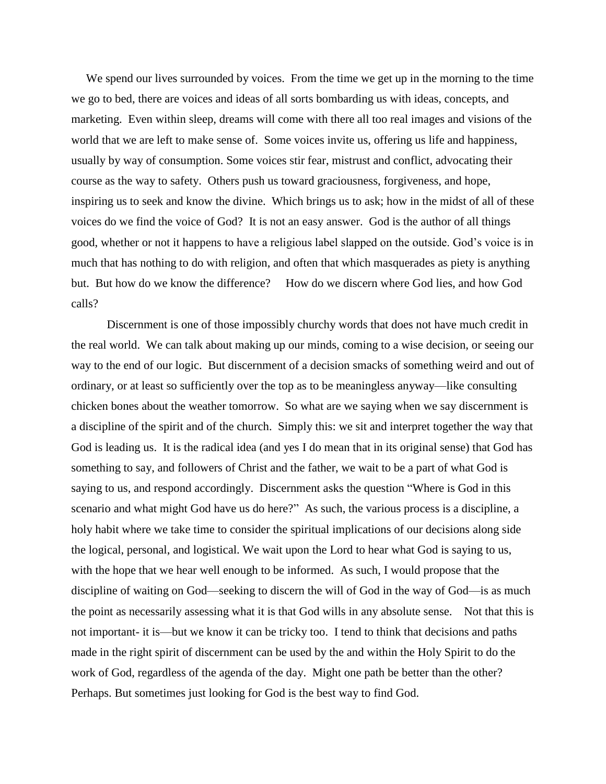We spend our lives surrounded by voices. From the time we get up in the morning to the time we go to bed, there are voices and ideas of all sorts bombarding us with ideas, concepts, and marketing. Even within sleep, dreams will come with there all too real images and visions of the world that we are left to make sense of. Some voices invite us, offering us life and happiness, usually by way of consumption. Some voices stir fear, mistrust and conflict, advocating their course as the way to safety. Others push us toward graciousness, forgiveness, and hope, inspiring us to seek and know the divine. Which brings us to ask; how in the midst of all of these voices do we find the voice of God? It is not an easy answer. God is the author of all things good, whether or not it happens to have a religious label slapped on the outside. God's voice is in much that has nothing to do with religion, and often that which masquerades as piety is anything but. But how do we know the difference? How do we discern where God lies, and how God calls?

Discernment is one of those impossibly churchy words that does not have much credit in the real world. We can talk about making up our minds, coming to a wise decision, or seeing our way to the end of our logic. But discernment of a decision smacks of something weird and out of ordinary, or at least so sufficiently over the top as to be meaningless anyway—like consulting chicken bones about the weather tomorrow. So what are we saying when we say discernment is a discipline of the spirit and of the church. Simply this: we sit and interpret together the way that God is leading us. It is the radical idea (and yes I do mean that in its original sense) that God has something to say, and followers of Christ and the father, we wait to be a part of what God is saying to us, and respond accordingly. Discernment asks the question "Where is God in this scenario and what might God have us do here?" As such, the various process is a discipline, a holy habit where we take time to consider the spiritual implications of our decisions along side the logical, personal, and logistical. We wait upon the Lord to hear what God is saying to us, with the hope that we hear well enough to be informed. As such, I would propose that the discipline of waiting on God—seeking to discern the will of God in the way of God—is as much the point as necessarily assessing what it is that God wills in any absolute sense. Not that this is not important- it is—but we know it can be tricky too. I tend to think that decisions and paths made in the right spirit of discernment can be used by the and within the Holy Spirit to do the work of God, regardless of the agenda of the day. Might one path be better than the other? Perhaps. But sometimes just looking for God is the best way to find God.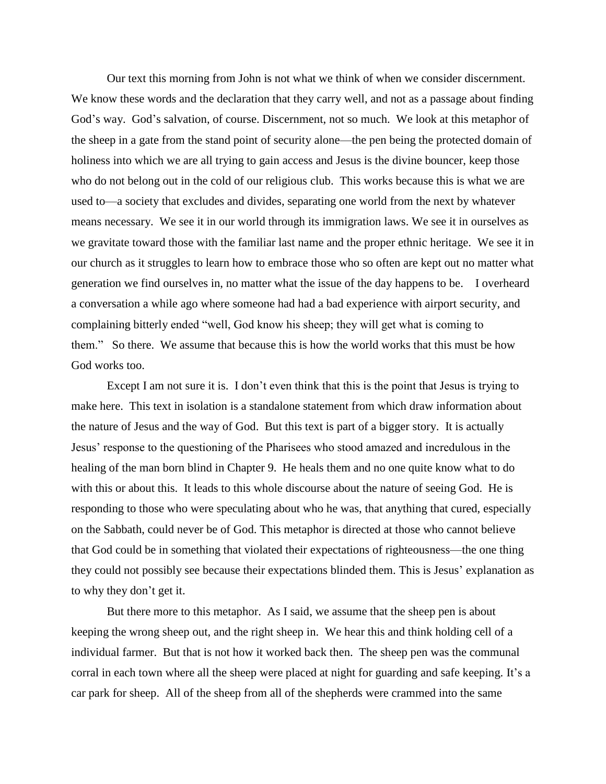Our text this morning from John is not what we think of when we consider discernment. We know these words and the declaration that they carry well, and not as a passage about finding God's way. God's salvation, of course. Discernment, not so much. We look at this metaphor of the sheep in a gate from the stand point of security alone—the pen being the protected domain of holiness into which we are all trying to gain access and Jesus is the divine bouncer, keep those who do not belong out in the cold of our religious club. This works because this is what we are used to—a society that excludes and divides, separating one world from the next by whatever means necessary. We see it in our world through its immigration laws. We see it in ourselves as we gravitate toward those with the familiar last name and the proper ethnic heritage. We see it in our church as it struggles to learn how to embrace those who so often are kept out no matter what generation we find ourselves in, no matter what the issue of the day happens to be. I overheard a conversation a while ago where someone had had a bad experience with airport security, and complaining bitterly ended "well, God know his sheep; they will get what is coming to them." So there. We assume that because this is how the world works that this must be how God works too.

 Except I am not sure it is. I don't even think that this is the point that Jesus is trying to make here. This text in isolation is a standalone statement from which draw information about the nature of Jesus and the way of God. But this text is part of a bigger story. It is actually Jesus' response to the questioning of the Pharisees who stood amazed and incredulous in the healing of the man born blind in Chapter 9. He heals them and no one quite know what to do with this or about this. It leads to this whole discourse about the nature of seeing God. He is responding to those who were speculating about who he was, that anything that cured, especially on the Sabbath, could never be of God. This metaphor is directed at those who cannot believe that God could be in something that violated their expectations of righteousness—the one thing they could not possibly see because their expectations blinded them. This is Jesus' explanation as to why they don't get it.

 But there more to this metaphor. As I said, we assume that the sheep pen is about keeping the wrong sheep out, and the right sheep in. We hear this and think holding cell of a individual farmer. But that is not how it worked back then. The sheep pen was the communal corral in each town where all the sheep were placed at night for guarding and safe keeping. It's a car park for sheep. All of the sheep from all of the shepherds were crammed into the same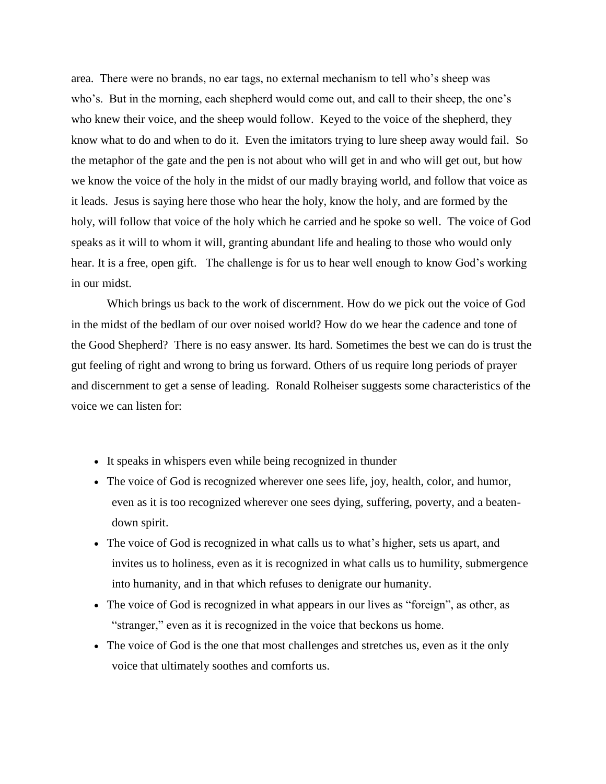area. There were no brands, no ear tags, no external mechanism to tell who's sheep was who's. But in the morning, each shepherd would come out, and call to their sheep, the one's who knew their voice, and the sheep would follow. Keyed to the voice of the shepherd, they know what to do and when to do it. Even the imitators trying to lure sheep away would fail. So the metaphor of the gate and the pen is not about who will get in and who will get out, but how we know the voice of the holy in the midst of our madly braying world, and follow that voice as it leads. Jesus is saying here those who hear the holy, know the holy, and are formed by the holy, will follow that voice of the holy which he carried and he spoke so well. The voice of God speaks as it will to whom it will, granting abundant life and healing to those who would only hear. It is a free, open gift. The challenge is for us to hear well enough to know God's working in our midst.

Which brings us back to the work of discernment. How do we pick out the voice of God in the midst of the bedlam of our over noised world? How do we hear the cadence and tone of the Good Shepherd? There is no easy answer. Its hard. Sometimes the best we can do is trust the gut feeling of right and wrong to bring us forward. Others of us require long periods of prayer and discernment to get a sense of leading. Ronald Rolheiser suggests some characteristics of the voice we can listen for:

- It speaks in whispers even while being recognized in thunder
- The voice of God is recognized wherever one sees life, joy, health, color, and humor, even as it is too recognized wherever one sees dying, suffering, poverty, and a beatendown spirit.
- The voice of God is recognized in what calls us to what's higher, sets us apart, and invites us to holiness, even as it is recognized in what calls us to humility, submergence into humanity, and in that which refuses to denigrate our humanity.
- The voice of God is recognized in what appears in our lives as "foreign", as other, as "stranger," even as it is recognized in the voice that beckons us home.
- The voice of God is the one that most challenges and stretches us, even as it the only voice that ultimately soothes and comforts us.